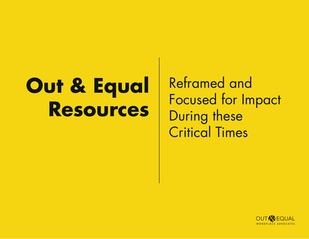# **Out & Equal Resources**

Reframed and Focused for Impact During these Critical Times

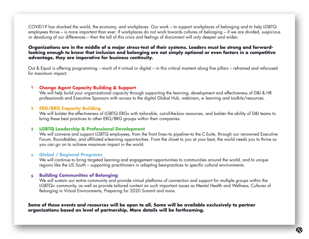COVID19 has shocked the world, the economy, and workplaces. Our work – to support workplaces of belonging and to help LGBTQ employees thrive – is more important than ever: If workplaces do not work towards cultures of belonging – if we are divided, suspicious or devaluing of our differences – then the toll of this crisis and feelings of disconnect will only deepen and widen.

#### **Organizations are in the middle of a major stress-test of their systems. Leaders must be strong and forwardlooking enough to know that inclusion and belonging are not simply optional or even factors in a competitive advantage, they are imperative for business continuity.**

Out & Equal is offering programming – much of it virtual or digital – in this critical moment along five pillars – reframed and refocused for maximum impact:

#### **Change Agent Capacity Building & Support 1**

We will help build your organizational capacity through supporting the learning, development and effectiveness of D&I & HR professionals and Executive Sponsors with access to the digital Global Hub, webinars, e- learning and toolkits/resources.

#### **ERG/BRG Capacity Building 2**

We will bolster the effectiveness of LGBTQ ERGs with tailorable, out-of-the-box resources, and bolster the ability of D&I teams to bring these best practices to other ERG/BRG groups within their companies.

#### **LGBTQ Leadership & Professional Development 3**

We will convene and support LGBTQ employees, from the front lines–to pipeline–to the C-Suite, through our renowned Executive Forum, Roundtables, and affiliated e-learning opportunities. From the closet to you at your best, the world needs you to thrive so you can go on to achieve maximum impact in the world.

#### **Global / Regional Programs 4**

We will continue to bring targeted learning and engagement opportunities to communities around the world, and to unique regions like the US South – supporting practitioners in adapting best-practices to specific cultural environments.

#### **Building Communities of Belonging 5**

We will sustain our entire community and provide virtual platforms of connection and support for multiple groups within the LGBTQ+ community, as well as provide tailored content on such important issues as Mental Health and Wellness, Cultures of Belonging in Virtual Environments, Preparing for 2020 Summit and more.

**Some of these events and resources will be open to all. Some will be available exclusively to partner organizations based on level of partnership. More details will be forthcoming.**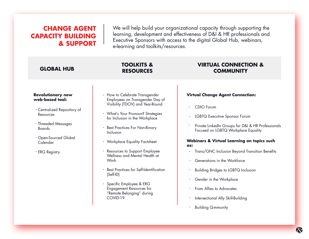# **CHANGE AGENT CAPACITY BUILDING & SUPPORT**

We will help build your organizational capacity through supporting the learning, development and effectiveness of D&I & HR professionals and Executive Sponsors with access to the digital Global Hub, webinars, e-learning and toolkits/resources.

#### **GLOBAL HUB**

#### **TOOLKITS & RESOURCES**

#### **Revolutionary new web-based tool:**

- Centralized Repository of Resources
- Threaded Messages Boards
- Open-Sourced Global Calendar
- ERG Registry
- **How to Celebrate Transgender** Employees on Transgender Day of Visibility (TDOV) and Year-Round
- What's Your Pronoun? Strategies for Inclusion in the Workplace
- **· Best Practices For Non-Binary** Inclusion
- Workplace Equality Factsheet
- Resources to Support Employee Wellness and Mental Health at **Work**
- Best Practices for Self-Identification (Self-ID)
- Specific Employee & ERG Engagement Resources for "Remote Belonging" during COVID-19

#### **VIRTUAL CONNECTION & COMMUNITY**

#### **Virtual Change Agent Connection:**

- CDIO Forum
- **·** LGBTQ Executive Sponsor Forum
- Private LinkedIn Groups for D&I & HR Professionals Focused on LGBTQ Workplace Equality

#### **Webinars & Virtual Learning on topics such as:**

- Trans/GNC Inclusion Beyond Transition Benefits
- Generations in the Workforce
- Building Bridges to LGBTQ Inclusion
- Gender in the Workplace
- From Allies to Advocates
- Intersectional Ally Skill-Building
- Building Q-mmunity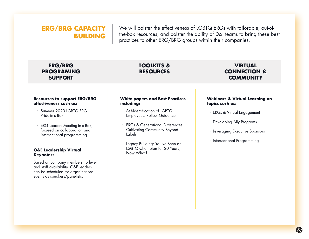# **ERG/BRG CAPACITY BUILDING**

We will bolster the effectiveness of LGBTQ ERGs with tailorable, out-ofthe-box resources, and bolster the ability of D&I teams to bring these best practices to other ERG/BRG groups within their companies.

#### **ERG/BRG PROGRAMING SUPPORT**

## **TOOLKITS & RESOURCES**

### **VIRTUAL CONNECTION & COMMUNITY**

#### **Resources to support ERG/BRG effectiveness such as:**

- Summer 2020 LGBTQ ERG Pride-in-a-Box
- ERG Leaders Meeting-in-a-Box, focused on collaboration and intersectional programming.

#### **O&E Leadership Virtual Keynotes:**

Based on company membership level and staff availability, O&E leaders can be scheduled for organizations' events as speakers/panelists.

#### **White papers and Best Practices including:**

- Self-Identification of LGBTQ Employees: Rollout Guidance
- ERGs & Generational Differences: Cultivating Community Beyond Labels
- Legacy Building: You've Been an LGBTQ Champion for 20 Years, Now What?

#### **Webinars & Virtual Learning on topics such as:**

- ERGs & Virtual Engagement
- Developing Ally Programs
- Leveraging Executive Sponsors
- Intersectional Programming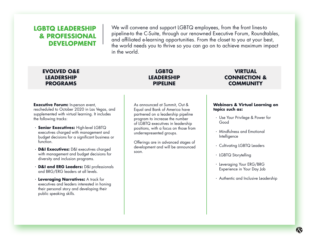# **LGBTQ LEADERSHIP & PROFESSIONAL DEVELOPMENT**

We will convene and support LGBTQ employees, from the front lines-to pipeline-to the C-Suite, through our renowned Executive Forum, Roundtables, and affiliated e-learning opportunities. From the closet to you at your best, the world needs you to thrive so you can go on to achieve maximum impact in the world.

#### **EVOLVED O&E LEADERSHIP PROGRAMS**

#### **LGBTQ LEADERSHIP PIPELINE**

**Executive Forum: In-person event,** rescheduled to October 2020 in Las Vegas, and supplemented with virtual learning. It includes the following tracks:

- **Senior Executives:** High-level LGBTQ executives charged with management and budget decisions for a significant business or function.
- **D&I Executives:** D&I executives charged with management and budget decisions for diversity and inclusion programs.
- **D&I and ERG Leaders:** D&I professionals and BRG/ERG leaders at all levels.
- **Leveraging Narratives:** A track for executives and leaders interested in honing their personal story and developing their public speaking skills.

As announced at Summit, Out & Equal and Bank of America have partnered on a leadership pipeline program to increase the number of LGBTQ executives in leadership positions, with a focus on those from underrepresented groups.

Offerings are in advanced stages of development and will be announced soon.

### **VIRTUAL CONNECTION & COMMUNITY**

#### **Webinars & Virtual Learning on topics such as:**

- Use Your Privilege & Power for Good
- Mindfulness and Emotional Intelligence
- Cultivating LGBTQ Leaders
- LGBTQ Storytelling
- Leveraging Your ERG/BRG Experience in Your Day Job
- Authentic and Inclusive Leadership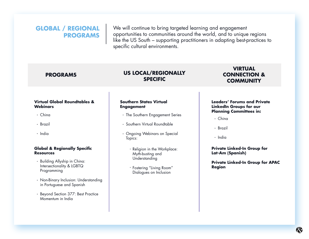## **GLOBAL / REGIONAL PROGRAMS**

We will continue to bring targeted learning and engagement opportunities to communities around the world, and to unique regions like the US South – supporting practitioners in adapting best-practices to specific cultural environments.

#### **PROGRAMS US LOCAL/REGIONALLY SPECIFIC**

#### **Virtual Global Roundtables & Webinars**

- China
- · Brazil
- $\cdot$  India

#### **Global & Regionally Specific Resources**

- Building Allyship in China: Intersectionality & LGBTQ Programming
- Non-Binary Inclusion: Understanding in Portuguese and Spanish
- Beyond Section 377: Best Practice Momentum in India

#### **Southern States Virtual Engagement**

- The Southern Engagement Series
- Southern Virtual Roundtable
- Ongoing Webinars on Special Topics:
	- Religion in the Workplace: Myth-busting and Understanding
	- Fostering "Living Room" Dialogues on Inclusion

#### **VIRTUAL CONNECTION & COMMUNITY**

#### **Leaders' Forums and Private LinkedIn Groups for our Planning Committees in:**

- China
- Brazil
- $\cdot$  India

#### **Private Linked-In Group for Lat-Am (Spanish)**

**Private Linked-In Group for APAC Region**